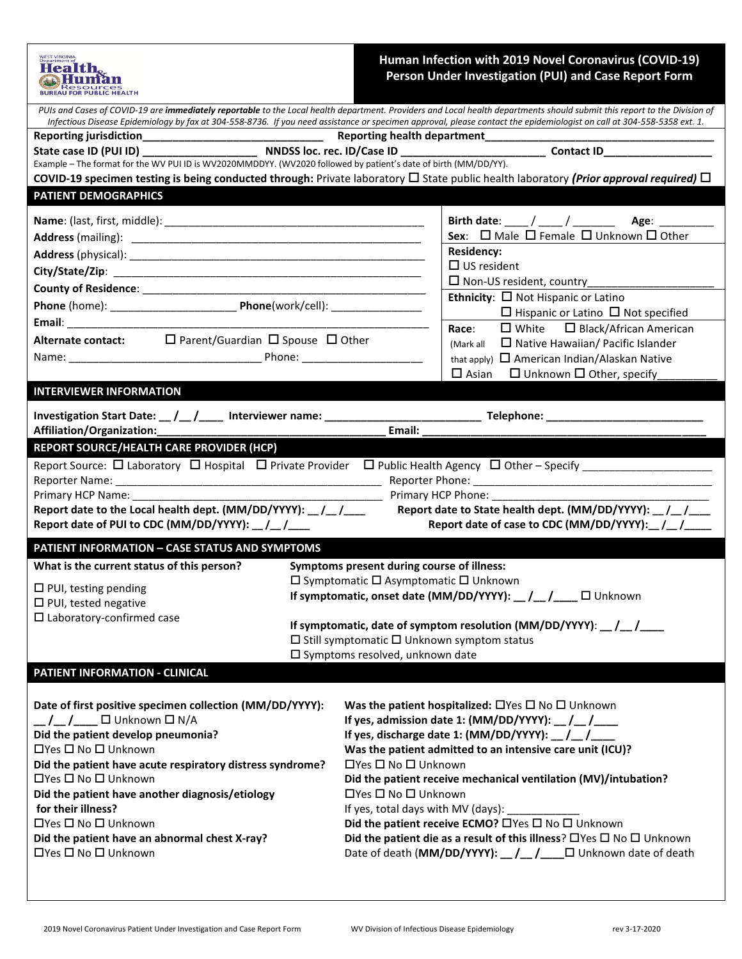| Health.<br>Resources                                                                                                          | Human Infection with 2019 Novel Coronavirus (COVID-19)<br>Person Under Investigation (PUI) and Case Report Form                                                                                                                                                                                                                                     |  |
|-------------------------------------------------------------------------------------------------------------------------------|-----------------------------------------------------------------------------------------------------------------------------------------------------------------------------------------------------------------------------------------------------------------------------------------------------------------------------------------------------|--|
|                                                                                                                               | PUIs and Cases of COVID-19 are immediately reportable to the Local health department. Providers and Local health departments should submit this report to the Division of<br>Infectious Disease Epidemiology by fax at 304-558-8736. If you need assistance or specimen approval, please contact the epidemiologist on call at 304-558-5358 ext. 1. |  |
|                                                                                                                               | Reporting health department_______                                                                                                                                                                                                                                                                                                                  |  |
|                                                                                                                               |                                                                                                                                                                                                                                                                                                                                                     |  |
| Example - The format for the WV PUI ID is WV2020MMDDYY. (WV2020 followed by patient's date of birth (MM/DD/YY).               |                                                                                                                                                                                                                                                                                                                                                     |  |
|                                                                                                                               | COVID-19 specimen testing is being conducted through: Private laboratory $\Box$ State public health laboratory (Prior approval required) $\Box$                                                                                                                                                                                                     |  |
| <b>PATIENT DEMOGRAPHICS</b>                                                                                                   |                                                                                                                                                                                                                                                                                                                                                     |  |
|                                                                                                                               | Birth date: ____ / ____ / ___________________ Age: _________                                                                                                                                                                                                                                                                                        |  |
|                                                                                                                               | Sex: $\Box$ Male $\Box$ Female $\Box$ Unknown $\Box$ Other                                                                                                                                                                                                                                                                                          |  |
|                                                                                                                               | <b>Residency:</b>                                                                                                                                                                                                                                                                                                                                   |  |
|                                                                                                                               | $\Box$ US resident<br>$\Box$ Non-US resident, country_                                                                                                                                                                                                                                                                                              |  |
|                                                                                                                               | Ethnicity: $\Box$ Not Hispanic or Latino                                                                                                                                                                                                                                                                                                            |  |
|                                                                                                                               | $\Box$ Hispanic or Latino $\Box$ Not specified                                                                                                                                                                                                                                                                                                      |  |
|                                                                                                                               | $\Box$ White $\Box$ Black/African American<br>Race:                                                                                                                                                                                                                                                                                                 |  |
| Alternate contact: $\square$ Parent/Guardian $\square$ Spouse $\square$ Other                                                 | $\Box$ Native Hawaiian/ Pacific Islander<br>(Mark all                                                                                                                                                                                                                                                                                               |  |
|                                                                                                                               | that apply) $\Box$ American Indian/Alaskan Native                                                                                                                                                                                                                                                                                                   |  |
|                                                                                                                               | $\square$ Asian<br>$\Box$ Unknown $\Box$ Other, specify                                                                                                                                                                                                                                                                                             |  |
| <b>INTERVIEWER INFORMATION</b>                                                                                                |                                                                                                                                                                                                                                                                                                                                                     |  |
|                                                                                                                               |                                                                                                                                                                                                                                                                                                                                                     |  |
| Affiliation/Organization:                                                                                                     | Email:                                                                                                                                                                                                                                                                                                                                              |  |
| <b>REPORT SOURCE/HEALTH CARE PROVIDER (HCP)</b>                                                                               |                                                                                                                                                                                                                                                                                                                                                     |  |
|                                                                                                                               |                                                                                                                                                                                                                                                                                                                                                     |  |
|                                                                                                                               |                                                                                                                                                                                                                                                                                                                                                     |  |
| Primary HCP Name:                                                                                                             | Primary HCP Phone: ________                                                                                                                                                                                                                                                                                                                         |  |
| Report date to the Local health dept. (MM/DD/YYYY): __ /__ /___<br>Report date of PUI to CDC (MM/DD/YYYY): _/_/___            | Report date to State health dept. (MM/DD/YYYY): _/_/__<br>Report date of case to CDC (MM/DD/YYYY):_/_/__                                                                                                                                                                                                                                            |  |
| <b>PATIENT INFORMATION - CASE STATUS AND SYMPTOMS</b>                                                                         |                                                                                                                                                                                                                                                                                                                                                     |  |
| What is the current status of this person?                                                                                    | <b>Symptoms present during course of illness:</b>                                                                                                                                                                                                                                                                                                   |  |
| $\Box$ PUI, testing pending                                                                                                   | $\Box$ Symptomatic $\Box$ Asymptomatic $\Box$ Unknown                                                                                                                                                                                                                                                                                               |  |
| $\Box$ PUI, tested negative                                                                                                   | If symptomatic, onset date (MM/DD/YYYY): _/_/__/__ □ Unknown                                                                                                                                                                                                                                                                                        |  |
| $\square$ Laboratory-confirmed case                                                                                           |                                                                                                                                                                                                                                                                                                                                                     |  |
| If symptomatic, date of symptom resolution (MM/DD/YYYY): $_{\_}/\_$<br>$\Box$ Still symptomatic $\Box$ Unknown symptom status |                                                                                                                                                                                                                                                                                                                                                     |  |
| $\square$ Symptoms resolved, unknown date                                                                                     |                                                                                                                                                                                                                                                                                                                                                     |  |
| PATIENT INFORMATION - CLINICAL                                                                                                |                                                                                                                                                                                                                                                                                                                                                     |  |
|                                                                                                                               |                                                                                                                                                                                                                                                                                                                                                     |  |
| Date of first positive specimen collection (MM/DD/YYYY):                                                                      | Was the patient hospitalized: $\Box$ Yes $\Box$ No $\Box$ Unknown                                                                                                                                                                                                                                                                                   |  |
| If yes, admission date 1: (MM/DD/YYYY): $_{\_}/_{\_}/$                                                                        |                                                                                                                                                                                                                                                                                                                                                     |  |
| Did the patient develop pneumonia?                                                                                            |                                                                                                                                                                                                                                                                                                                                                     |  |
| □Yes □ No □ Unknown                                                                                                           | Was the patient admitted to an intensive care unit (ICU)?                                                                                                                                                                                                                                                                                           |  |
| Did the patient have acute respiratory distress syndrome?<br>□Yes □ No □ Unknown                                              | □Yes □ No □ Unknown<br>Did the patient receive mechanical ventilation (MV)/intubation?                                                                                                                                                                                                                                                              |  |
| Did the patient have another diagnosis/etiology                                                                               | □Yes □ No □ Unknown                                                                                                                                                                                                                                                                                                                                 |  |
| for their illness?                                                                                                            | If yes, total days with MV (days): _                                                                                                                                                                                                                                                                                                                |  |
| □Yes □ No □ Unknown                                                                                                           | Did the patient receive ECMO? □ Yes □ No □ Unknown                                                                                                                                                                                                                                                                                                  |  |
| Did the patient have an abnormal chest X-ray?                                                                                 | Did the patient die as a result of this illness? $\Box$ Yes $\Box$ No $\Box$ Unknown                                                                                                                                                                                                                                                                |  |
| □Yes □ No □ Unknown                                                                                                           | Date of death (MM/DD/YYYY): _/_/__/___□ Unknown date of death                                                                                                                                                                                                                                                                                       |  |
|                                                                                                                               |                                                                                                                                                                                                                                                                                                                                                     |  |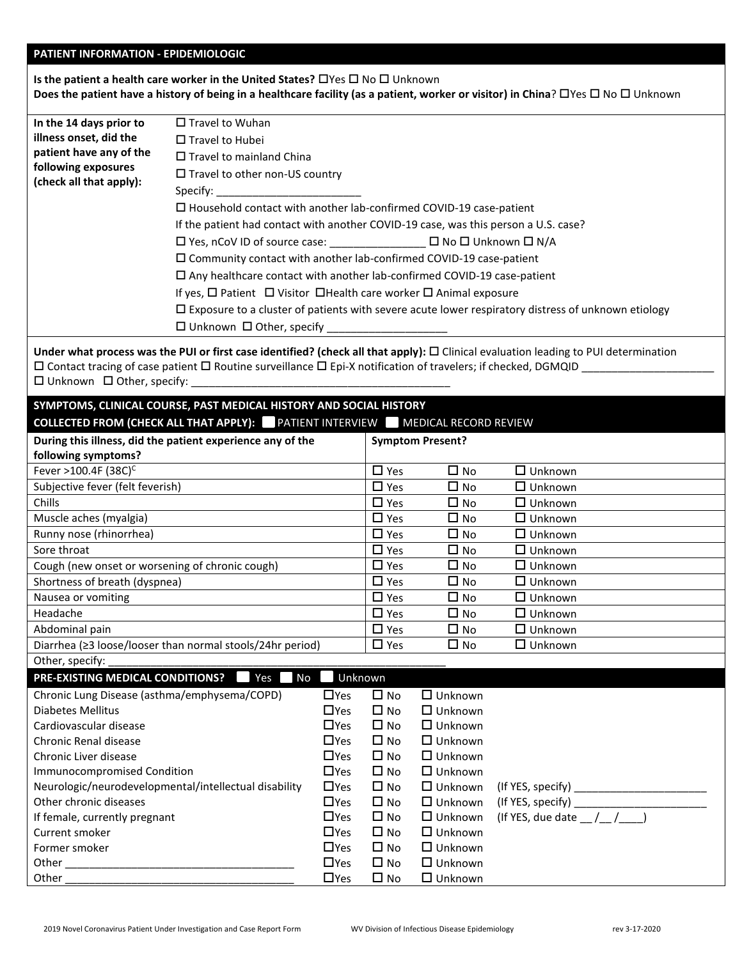#### **PATIENT INFORMATION - EPIDEMIOLOGIC**

**Is the patient a health care worker in the United States? □ Yes □ No □ Unknown Does the patient have a history of being in a healthcare facility (as a patient, worker or visitor) in China?**  $\Box$  **Yes**  $\Box$  **No**  $\Box$  **Unknown** 

| In the 14 days prior to | $\Box$ Travel to Wuhan                                                                                                                                                                                                                                                                                                                                                                                                                                                                                                                                                         |  |  |
|-------------------------|--------------------------------------------------------------------------------------------------------------------------------------------------------------------------------------------------------------------------------------------------------------------------------------------------------------------------------------------------------------------------------------------------------------------------------------------------------------------------------------------------------------------------------------------------------------------------------|--|--|
| illness onset, did the  | $\Box$ Travel to Hubei                                                                                                                                                                                                                                                                                                                                                                                                                                                                                                                                                         |  |  |
| patient have any of the | $\Box$ Travel to mainland China                                                                                                                                                                                                                                                                                                                                                                                                                                                                                                                                                |  |  |
| following exposures     | $\Box$ Travel to other non-US country                                                                                                                                                                                                                                                                                                                                                                                                                                                                                                                                          |  |  |
| (check all that apply): | Specify: the contract of the contract of the contract of the contract of the contract of the contract of the contract of the contract of the contract of the contract of the contract of the contract of the contract of the c                                                                                                                                                                                                                                                                                                                                                 |  |  |
|                         | $\Box$ Household contact with another lab-confirmed COVID-19 case-patient<br>If the patient had contact with another COVID-19 case, was this person a U.S. case?<br>$\Box$ Community contact with another lab-confirmed COVID-19 case-patient<br>$\Box$ Any healthcare contact with another lab-confirmed COVID-19 case-patient<br>If yes, $\Box$ Patient $\Box$ Visitor $\Box$ Health care worker $\Box$ Animal exposure<br>$\Box$ Exposure to a cluster of patients with severe acute lower respiratory distress of unknown etiology<br>$\Box$ Unknown $\Box$ Other, specify |  |  |

**Under what process was the PUI or first case identified? (check all that apply):** □ Clinical evaluation leading to PUI determination  $\square$  Contact tracing of case patient  $\square$  Routine surveillance  $\square$  Epi-X notification of travelers; if checked, DGMQID  $\square$  $\square$  Unknown  $\square$  Other, specify:

| SYMPTOMS, CLINICAL COURSE, PAST MEDICAL HISTORY AND SOCIAL HISTORY                    |                         |              |                |  |
|---------------------------------------------------------------------------------------|-------------------------|--------------|----------------|--|
| <b>COLLECTED FROM (CHECK ALL THAT APPLY):</b> PATIENT INTERVIEW MEDICAL RECORD REVIEW |                         |              |                |  |
| During this illness, did the patient experience any of the                            | <b>Symptom Present?</b> |              |                |  |
| following symptoms?                                                                   |                         |              |                |  |
| Fever >100.4F $(38C)^{C}$                                                             | $\Box$ Yes              | $\square$ No | $\Box$ Unknown |  |
| Subjective fever (felt feverish)                                                      | $\Box$ Yes              | $\Box$ No    | $\Box$ Unknown |  |
| <b>Chills</b>                                                                         | $\Box$ Yes              | $\square$ No | $\Box$ Unknown |  |
| Muscle aches (myalgia)                                                                | $\Box$ Yes              | $\Box$ No    | $\Box$ Unknown |  |
| Runny nose (rhinorrhea)                                                               | $\Box$ Yes              | $\Box$ No    | $\Box$ Unknown |  |
| Sore throat                                                                           | $\Box$ Yes              | $\square$ No | $\Box$ Unknown |  |
| Cough (new onset or worsening of chronic cough)                                       | $\Box$ Yes              | $\square$ No | $\Box$ Unknown |  |
| Shortness of breath (dyspnea)                                                         | $\Box$ Yes              | $\square$ No | $\Box$ Unknown |  |
| Nausea or vomiting                                                                    | $\Box$ Yes              | $\Box$ No    | $\Box$ Unknown |  |
| Headache                                                                              | $\Box$ Yes              | $\square$ No | $\Box$ Unknown |  |
| Abdominal pain                                                                        | $\Box$ Yes              | $\square$ No | $\Box$ Unknown |  |
| Diarrhea ( $\geq$ 3 loose/looser than normal stools/24hr period)                      | $\Box$ Yes              | $\square$ No | $\Box$ Unknown |  |
| Other, specify:                                                                       |                         |              |                |  |

## **PRE-EXISTING MEDICAL CONDITIONS? PRE-EXISTING MEDICAL CONDITIONS? P** Yes No Unknown Chronic Lung Disease (asthma/emphysema/COPD) Yes No Unknown Diabetes Mellitus  $\Box$  Yes  $\Box$  No  $\Box$  Unknown  $Cardiovascular disease$  Yes  $\Box$  No  $\Box$  Unknown Chronic Renal disease  $\Box$  Yes  $\Box$  No  $\Box$  Unknown Chronic Liver disease The Manuscript Chronic Liver disease The Manuscript Chronic Liver of Unknown Immunocompromised Condition The South Condition Condition Condition Condition Condition Condition Condition Condition Neurologic/neurodevelopmental/intellectual disability  $\Box$  Yes  $\Box$  No  $\Box$  Unknown (If YES, specify) \_\_\_\_\_\_\_\_\_\_ Other chronic diseases  $\Box$  Yes  $\Box$  No  $\Box$  Unknown (If YES, specify) If female, currently pregnant  $\Box$  Yes  $\Box$  No  $\Box$  Unknown (If YES, due date  $/$   $/$   $/$   $\Box$ ) Current smoker The Yes Care May be a No Current smoker West Care May be a No Current smoker Former smoker The Yes **COMEX ISSUE IN THE STATE OF STATE I**N THE STATE ISSUES TO NO **CONTRACT OF STATE ISSUES** Other **Other Communist Communist Communist Communist Communist Communist Communist Communist Communist Communist Communist Communist Communist Communist Communist Communist Communist Communist Communist Communist Communist** Other \_\_\_\_\_\_\_\_\_\_\_\_\_\_\_\_\_\_\_\_\_\_\_\_\_\_\_\_\_\_\_\_\_\_\_\_\_\_ Yes No Unknown